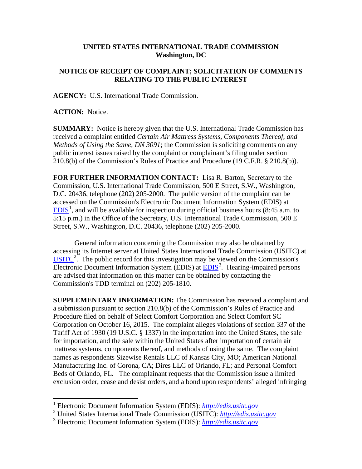## **UNITED STATES INTERNATIONAL TRADE COMMISSION Washington, DC**

## **NOTICE OF RECEIPT OF COMPLAINT; SOLICITATION OF COMMENTS RELATING TO THE PUBLIC INTEREST**

**AGENCY:** U.S. International Trade Commission.

**ACTION:** Notice.

**SUMMARY:** Notice is hereby given that the U.S. International Trade Commission has received a complaint entitled *Certain Air Mattress Systems, Components Thereof, and Methods of Using the Same, DN 3091*; the Commission is soliciting comments on any public interest issues raised by the complaint or complainant's filing under section 210.8(b) of the Commission's Rules of Practice and Procedure (19 C.F.R. § 210.8(b)).

**FOR FURTHER INFORMATION CONTACT:** Lisa R. Barton, Secretary to the Commission, U.S. International Trade Commission, 500 E Street, S.W., Washington, D.C. 20436, telephone (202) 205-2000. The public version of the complaint can be accessed on the Commission's Electronic Document Information System (EDIS) at  $EDIS<sup>1</sup>$  $EDIS<sup>1</sup>$  $EDIS<sup>1</sup>$  $EDIS<sup>1</sup>$ , and will be available for inspection during official business hours (8:45 a.m. to 5:15 p.m.) in the Office of the Secretary, U.S. International Trade Commission, 500 E Street, S.W., Washington, D.C. 20436, telephone (202) 205-2000.

General information concerning the Commission may also be obtained by accessing its Internet server at United States International Trade Commission (USITC) at  $\overline{\text{USITC}}^2$  $\overline{\text{USITC}}^2$  $\overline{\text{USITC}}^2$  $\overline{\text{USITC}}^2$ . The public record for this investigation may be viewed on the Commission's Electronic Document Information System (EDIS) at **EDIS**<sup>[3](#page-0-2)</sup>. Hearing-impaired persons are advised that information on this matter can be obtained by contacting the Commission's TDD terminal on (202) 205-1810.

**SUPPLEMENTARY INFORMATION:** The Commission has received a complaint and a submission pursuant to section 210.8(b) of the Commission's Rules of Practice and Procedure filed on behalf of Select Comfort Corporation and Select Comfort SC Corporation on October 16, 2015. The complaint alleges violations of section 337 of the Tariff Act of 1930 (19 U.S.C. § 1337) in the importation into the United States, the sale for importation, and the sale within the United States after importation of certain air mattress systems, components thereof, and methods of using the same. The complaint names as respondents Sizewise Rentals LLC of Kansas City, MO; American National Manufacturing Inc. of Corona, CA; Dires LLC of Orlando, FL; and Personal Comfort Beds of Orlando, FL. The complainant requests that the Commission issue a limited exclusion order, cease and desist orders, and a bond upon respondents' alleged infringing

<span id="page-0-0"></span> <sup>1</sup> Electronic Document Information System (EDIS): *[http://edis.usitc.gov](http://edis.usitc.gov/)*

<span id="page-0-1"></span><sup>2</sup> United States International Trade Commission (USITC): *[http://edis.usitc.gov](http://edis.usitc.gov/)*

<span id="page-0-2"></span><sup>3</sup> Electronic Document Information System (EDIS): *[http://edis.usitc.gov](http://edis.usitc.gov/)*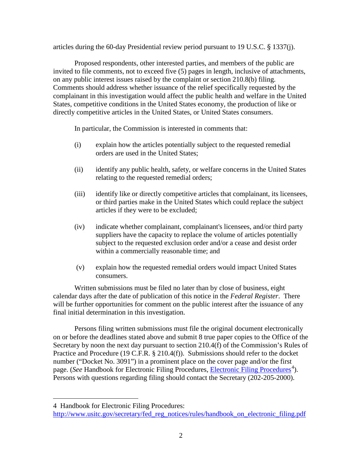articles during the 60-day Presidential review period pursuant to 19 U.S.C. § 1337(j).

Proposed respondents, other interested parties, and members of the public are invited to file comments, not to exceed five (5) pages in length, inclusive of attachments, on any public interest issues raised by the complaint or section 210.8(b) filing. Comments should address whether issuance of the relief specifically requested by the complainant in this investigation would affect the public health and welfare in the United States, competitive conditions in the United States economy, the production of like or directly competitive articles in the United States, or United States consumers.

In particular, the Commission is interested in comments that:

- (i) explain how the articles potentially subject to the requested remedial orders are used in the United States;
- (ii) identify any public health, safety, or welfare concerns in the United States relating to the requested remedial orders;
- (iii) identify like or directly competitive articles that complainant, its licensees, or third parties make in the United States which could replace the subject articles if they were to be excluded;
- (iv) indicate whether complainant, complainant's licensees, and/or third party suppliers have the capacity to replace the volume of articles potentially subject to the requested exclusion order and/or a cease and desist order within a commercially reasonable time; and
- (v) explain how the requested remedial orders would impact United States consumers.

Written submissions must be filed no later than by close of business, eight calendar days after the date of publication of this notice in the *Federal Register*. There will be further opportunities for comment on the public interest after the issuance of any final initial determination in this investigation.

Persons filing written submissions must file the original document electronically on or before the deadlines stated above and submit 8 true paper copies to the Office of the Secretary by noon the next day pursuant to section 210.4(f) of the Commission's Rules of Practice and Procedure (19 C.F.R. § 210.4(f)). Submissions should refer to the docket number ("Docket No. 3091") in a prominent place on the cover page and/or the first page. (*See* Handbook for [Electronic Filing Procedures](http://www.usitc.gov/secretary/fed_reg_notices/rules/handbook_on_electronic_filing.pdf), *Electronic Filing Procedures*<sup>[4](#page-1-0)</sup>). Persons with questions regarding filing should contact the Secretary (202-205-2000).

 $\overline{a}$ 

<span id="page-1-0"></span><sup>4</sup> Handbook for Electronic Filing Procedures:

[http://www.usitc.gov/secretary/fed\\_reg\\_notices/rules/handbook\\_on\\_electronic\\_filing.pdf](http://www.usitc.gov/secretary/fed_reg_notices/rules/handbook_on_electronic_filing.pdf)